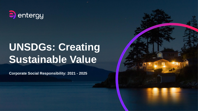

# **UNSDGs: Creating Sustainable Value**

**Corporate Social Responsibility: 2021 - 2025**

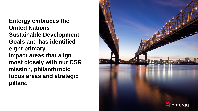**Entergy embraces the United Nations Sustainable Development Goals and has identified eight primary impact areas that align most closely with our CSR mission, philanthropic focus areas and strategic pillars.** 

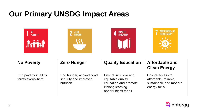# **Our Primary UNSDG Impact Areas**







End poverty in all its forms everywhere

End hunger, achieve food security and improved nutrition

## **No Poverty Zero Hunger Quality Education Affordable and**

Ensure inclusive and equitable quality education and promote lifelong learning opportunities for all

# **Clean Energy**

Ensure access to affordable, reliable, sustainable and modern energy for all

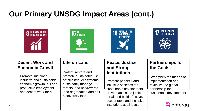# **Our Primary UNSDG Impact Areas (cont.)**







# **PARTNERSHIPS**<br>FOR THE GOALS

### **Decent Work and Economic Growth**

Promote sustained, inclusive and sustainable economic growth, full and productive employment and decent work for all

Protect, restore and promote sustainable use of terrestrial ecosystems, sustainably manage forests, and halt/reverse land degradation and halt biodiversity loss

### **Life on Land Peace, Justice and Strong Institutions**

Promote peaceful and inclusive societies for sustainable development, provide access to justice for all and build effective, accountable and inclusive institutions at all levels

# **Partnerships for the Goals**

Strengthen the means of implementation and revitalize the global partnership for sustainable development

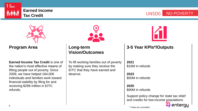

**Tax Credit** No. 2007 No. 2012 No. 2013 No. 2014 No. 2014 No. 2014 No. 2014 No. 2014 No. 2014 No. 2014 No. 2014 No. 2014 No. 2014 No. 2014 No. 2014 No. 2014 No. 2014 No. 2014 No. 2014 No. 2014 No. 2014 No. 2014 No. 2014 No



**Program Area Long-term** 

**Earned Income Tax Credit** is one of the nation's most effective means of lifting people out of poverty. Since 2009, we have helped 164,000 individuals and families work toward financial stability by filing for and receiving \$298 million in EITC refunds.



**Vision/Outcomes**

To lift working families out of poverty by making sure they receive the EITC that they have earned and deserve.



### **3-5 Year KPIs\*/Outputs**

**2021** \$16M in refunds

**2023** \$50M in refunds

**2025** \$90M in refunds

Support policy change for state tax relief and credits for low-income populations

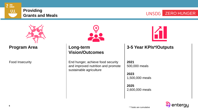





**Program Area Long-term** 



**Vision/Outcomes**

Food Insecurity End hunger, achieve food security and improved nutrition and promote sustainable agriculture



### **3-5 Year KPIs\*/Outputs**

**2021** 500,000 meals

**2023** 1,500,000 meals

**2025** 2,600,000 meals

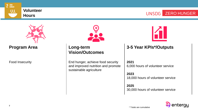

# **Volunteer**

**Hours** Mathematics Hours<br>
Hours



**Program Area Long-term** 



# **Vision/Outcomes**

Food Insecurity End hunger, achieve food security and improved nutrition and promote sustainable agriculture



### **3-5 Year KPIs\*/Outputs**

#### **2021**

6,000 hours of volunteer service

#### **2023**

18,000 hours of volunteer service

**2025** 30,000 hours of volunteer service

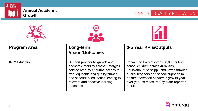

# UNSDG QUALITY EDUCATION



**Program Area Long-term** 



# **Vision/Outcomes**

K-12 Education **Support prosperity, growth and** economic mobility across Entergy's service area by ensuring access to free, equitable and quality primary and secondary education leading to relevant and effective learning outcomes



### **3-5 Year KPIs/Outputs**

Impact the lives of over 200,000 public school children across Arkansas, Louisiana, Mississippi, and Texas through quality teachers and school supports to ensure increased academic growth year over year as measured by state-reported results

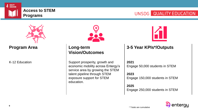

## UNSDG QUALITY EDUCATION



**Program Area Long-term** 



# **Vision/Outcomes**

K-12 Education **Support prosperity, growth and** economic mobility across Entergy's service area by growing the STEM talent pipeline through STEM exposure support for STEM education.



### **3-5 Year KPIs\*/Outputs**

#### **2021**

Engage 50,000 students in STEM

#### **2023**

Engage 150,000 students in STEM

#### **2025**

Engage 250,000 students in STEM

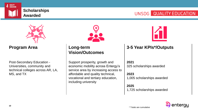

# UNSDG QUALITY EDUCATION



### **Program Area Long-term**

Post-Secondary Education - Universities, community and technical colleges across AR, LA, MS, and TX



# **Vision/Outcomes**

Support prosperity, growth and economic mobility across Entergy's service area by increasing access to affordable and quality technical, vocational and tertiary education, including university



### **3-5 Year KPIs\*/Outputs**

#### **2021**

325 scholarships awarded

#### **2023**

1,005 scholarships awarded

#### **2025**

1,725 scholarships awarded

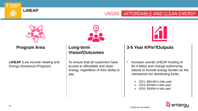

#### **LIHEAP**

#### UNSDG AFFORDABLE AND CLEAN ENERGY



**Program Area** | Long-term

**LIHEAP** (Low Income Heating and Energy Assistance Program)



# **Vision/Outcomes**

To ensure that all customers have access to affordable and clean energy, regardless of their ability to pay



### **3-5 Year KPIs\*/Outputs**

- Increase overall LIHEAP funding of \$3.4 billion and change authorizing statute to include energy burden as the mechanism for distributing funds.
	- $\geq 2021$ : \$88.5M in bills paid
	- ➢ 2023: \$225M in bills paid
	- $\geq$  2025: \$345M in bills paid

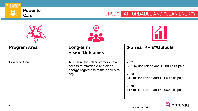

#### **Power to Care**

#### UNSDG AFFORDABLE AND CLEAN ENERGY



**Program Area Long-term** 



# **Vision/Outcomes**

Power to Care To ensure that all customers have access to affordable and clean energy, regardless of their ability to pay



### **3-5 Year KPIs\*/Outputs**

#### **2021**

\$3.2 million raised and 12,800 bills paid

#### **2023**

\$10 million raised and 40,000 bills paid

#### **2025**

\$15 million raised and 60,000 bills paid

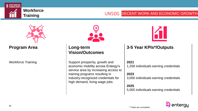

# **Training Example 20 Training DECENT WORK AND ECONOMIC GROWTH**



**Program Area Long-term** 



# **Vision/Outcomes**

Workforce Training  $\vert$  Support prosperity, growth and economic mobility across Entergy's service area by increasing access to training programs resulting in industry-recognized credentials for high demand, living wage jobs



### **3-5 Year KPIs\*/Outputs**

#### **2021**

1,258 individuals earning credentials

#### **2023**

3,000 individuals earning credentials

#### **2025**

5,000 individuals earning credentials

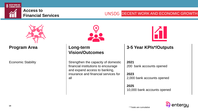

# **Financial Services DECENT WORK AND ECONOMIC GROWTH**



**Program Area Long-term** 



# **Vision/Outcomes**

Economic Stability **Strengthen** the capacity of domestic financial institutions to encourage and expand access to banking, insurance and financial services for all



### **3-5 Year KPIs\*/Outputs**

**2021**

200 bank accounts opened

**2023**

2,000 bank accounts opened

**2025** 10,000 bank accounts opened

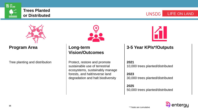

# **Trees Planted**





**Program Area Long-term** 

Tree planting and distribution **Protect**, restore and promote



# **Vision/Outcomes**

sustainable use of terrestrial ecosystems, sustainably manage forests, and halt/reverse land degradation and halt biodiversity



### **3-5 Year KPIs\*/Outputs**

#### **2021**

10,000 trees planted/distributed

#### **2023**

30,000 trees planted/distributed

**2025** 50,000 trees planted/distributed

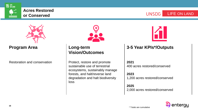

# **Acres Restored**

**or Conserved and Serverse Conserved** and the conserved and  $\mathsf{UNSDG}$  **LIFE ON LAND** 



**Program Area Long-term** 

Restoration and conservation **Protect**, restore and promote



# **Vision/Outcomes**

sustainable use of terrestrial ecosystems, sustainably manage forests, and halt/reverse land degradation and halt biodiversity loss



### **3-5 Year KPIs\*/Outputs**

#### **2021**

400 acres restored/conserved

#### **2023**

1,200 acres restored/conserved

#### **2025** 2,000 acres restored/conserved

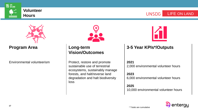

# **Volunteer**

**Hours** LIFE ON LAND



**Program Area Long-term** 



# **Vision/Outcomes**

Environmental volunteerism **Protect**, restore and promote sustainable use of terrestrial ecosystems, sustainably manage forests, and halt/reverse land degradation and halt biodiversity loss



### **3-5 Year KPIs\*/Outputs**

#### **2021**

2,000 environmental volunteer hours

#### **2023**

6,000 environmental volunteer hours

#### **2025**

10,000 environmental volunteer hours

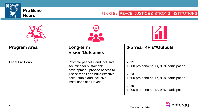

# **Hours Example 2011**



**Program Area Long-term** 



# **Vision/Outcomes**

Legal Pro Bono **Promote peaceful and inclusive** societies for sustainable development, provide access to justice for all and build effective, accountable and inclusive institutions at all levels



### **3-5 Year KPIs\*/Outputs**

#### **2021**

1,300 pro bono hours, 80% participation

#### **2023**

1,700 pro bono hours, 85% participation

#### **2025**

1,900 pro bono hours, 90% participation

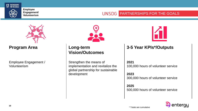

**Employee Engagement/**

### Engagement/<br>Volunteerism **PARTNERSHIPS FOR THE GOALS**



**Program Area Long-term** 

Employee Engagement / Volunteerism



# **Vision/Outcomes**

Strengthen the means of implementation and revitalize the global partnership for sustainable development



### **3-5 Year KPIs\*/Outputs**

#### **2021**

100,000 hours of volunteer service

#### **2023**

300,000 hours of volunteer service

**2025** 500,000 hours of volunteer service